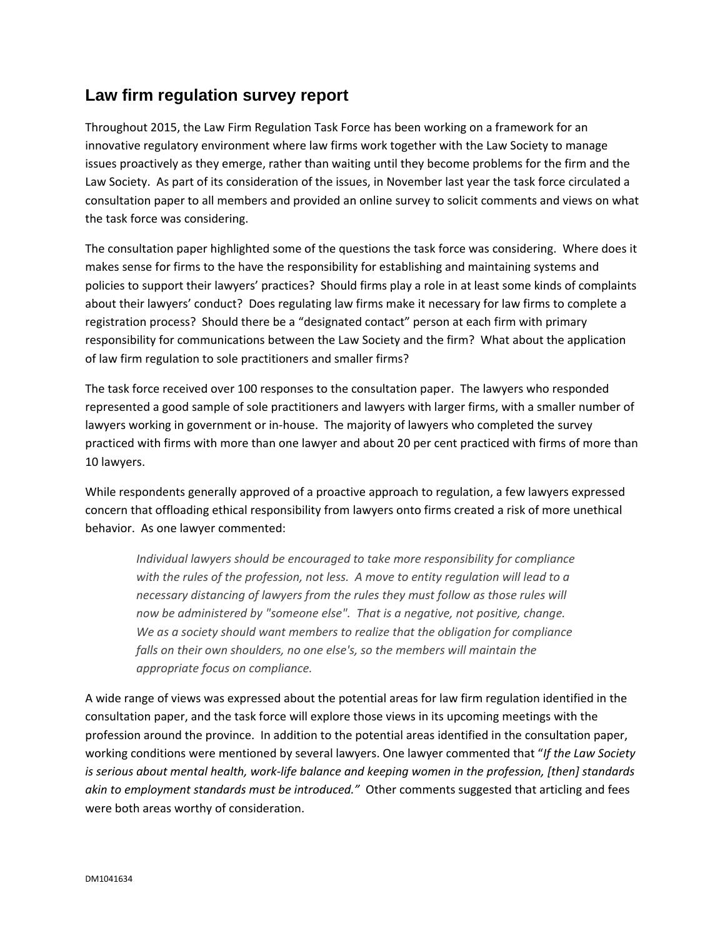## **Law firm regulation survey report**

Throughout 2015, the Law Firm Regulation Task Force has been working on a framework for an innovative regulatory environment where law firms work together with the Law Society to manage issues proactively as they emerge, rather than waiting until they become problems for the firm and the Law Society. As part of its consideration of the issues, in November last year the task force circulated a consultation paper to all members and provided an online survey to solicit comments and views on what the task force was considering.

The consultation paper highlighted some of the questions the task force was considering. Where does it makes sense for firms to the have the responsibility for establishing and maintaining systems and policies to support their lawyers' practices? Should firms play a role in at least some kinds of complaints about their lawyers' conduct? Does regulating law firms make it necessary for law firms to complete a registration process? Should there be a "designated contact" person at each firm with primary responsibility for communications between the Law Society and the firm? What about the application of law firm regulation to sole practitioners and smaller firms?

The task force received over 100 responses to the consultation paper. The lawyers who responded represented a good sample of sole practitioners and lawyers with larger firms, with a smaller number of lawyers working in government or in-house. The majority of lawyers who completed the survey practiced with firms with more than one lawyer and about 20 per cent practiced with firms of more than 10 lawyers.

While respondents generally approved of a proactive approach to regulation, a few lawyers expressed concern that offloading ethical responsibility from lawyers onto firms created a risk of more unethical behavior. As one lawyer commented:

*Individual lawyers should be encouraged to take more responsibility for compliance with the rules of the profession, not less. A move to entity regulation will lead to a necessary distancing of lawyers from the rules they must follow as those rules will now be administered by "someone else". That is a negative, not positive, change. We as a society should want members to realize that the obligation for compliance falls on their own shoulders, no one else's, so the members will maintain the appropriate focus on compliance.*

A wide range of views was expressed about the potential areas for law firm regulation identified in the consultation paper, and the task force will explore those views in its upcoming meetings with the profession around the province. In addition to the potential areas identified in the consultation paper, working conditions were mentioned by several lawyers. One lawyer commented that "*If the Law Society is serious about mental health, work‐life balance and keeping women in the profession, [then] standards akin to employment standards must be introduced."* Other comments suggested that articling and fees were both areas worthy of consideration.